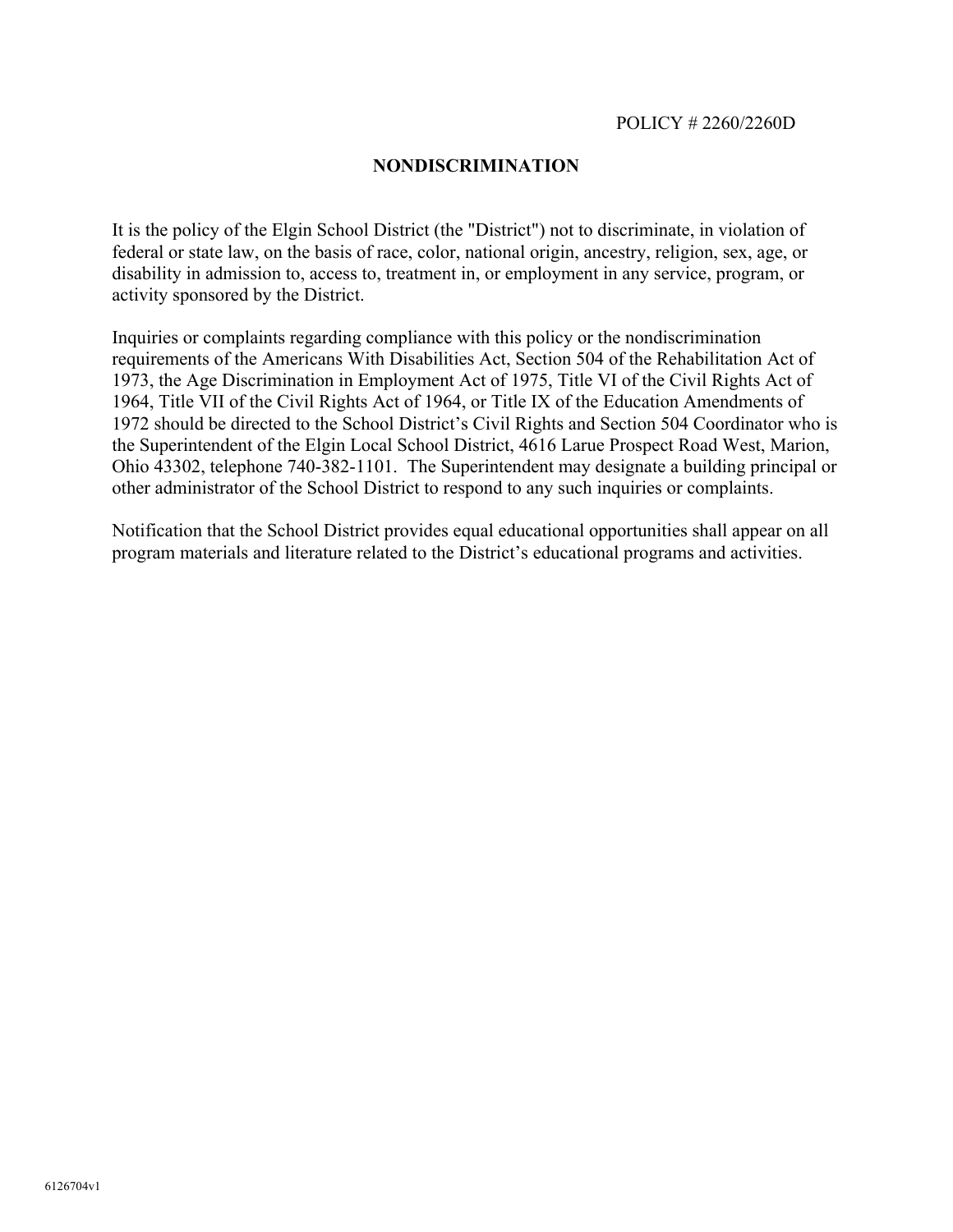## **NONDISCRIMINATION**

It is the policy of the Elgin School District (the "District") not to discriminate, in violation of federal or state law, on the basis of race, color, national origin, ancestry, religion, sex, age, or disability in admission to, access to, treatment in, or employment in any service, program, or activity sponsored by the District.

Inquiries or complaints regarding compliance with this policy or the nondiscrimination requirements of the Americans With Disabilities Act, Section 504 of the Rehabilitation Act of 1973, the Age Discrimination in Employment Act of 1975, Title VI of the Civil Rights Act of 1964, Title VII of the Civil Rights Act of 1964, or Title IX of the Education Amendments of 1972 should be directed to the School District's Civil Rights and Section 504 Coordinator who is the Superintendent of the Elgin Local School District, 4616 Larue Prospect Road West, Marion, Ohio 43302, telephone 740-382-1101. The Superintendent may designate a building principal or other administrator of the School District to respond to any such inquiries or complaints.

Notification that the School District provides equal educational opportunities shall appear on all program materials and literature related to the District's educational programs and activities.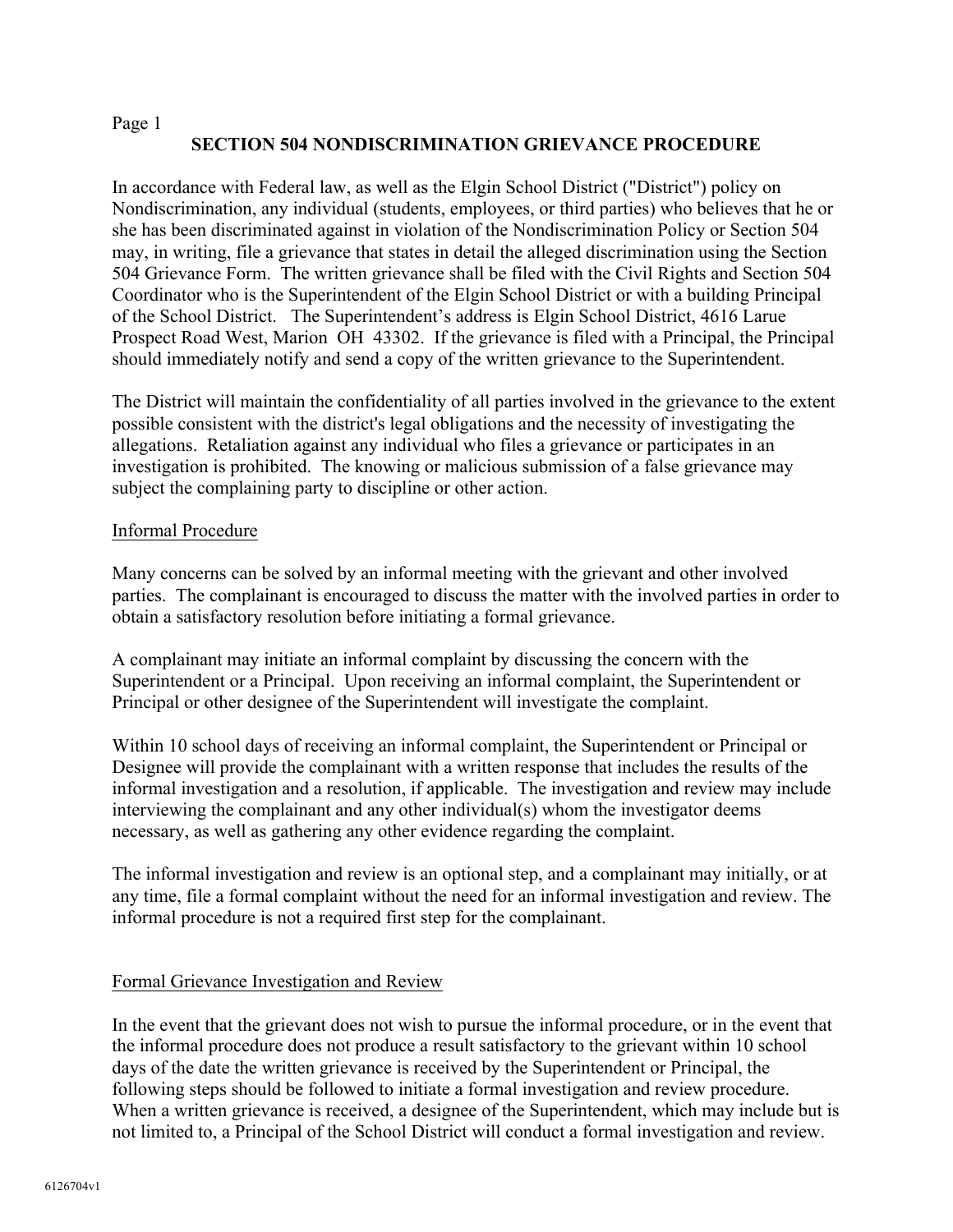# **SECTION 504 NONDISCRIMINATION GRIEVANCE PROCEDURE**

In accordance with Federal law, as well as the Elgin School District ("District") policy on Nondiscrimination, any individual (students, employees, or third parties) who believes that he or she has been discriminated against in violation of the Nondiscrimination Policy or Section 504 may, in writing, file a grievance that states in detail the alleged discrimination using the Section 504 Grievance Form. The written grievance shall be filed with the Civil Rights and Section 504 Coordinator who is the Superintendent of the Elgin School District or with a building Principal of the School District. The Superintendent's address is Elgin School District, 4616 Larue Prospect Road West, Marion OH 43302. If the grievance is filed with a Principal, the Principal should immediately notify and send a copy of the written grievance to the Superintendent.

The District will maintain the confidentiality of all parties involved in the grievance to the extent possible consistent with the district's legal obligations and the necessity of investigating the allegations. Retaliation against any individual who files a grievance or participates in an investigation is prohibited. The knowing or malicious submission of a false grievance may subject the complaining party to discipline or other action.

## Informal Procedure

Many concerns can be solved by an informal meeting with the grievant and other involved parties. The complainant is encouraged to discuss the matter with the involved parties in order to obtain a satisfactory resolution before initiating a formal grievance.

A complainant may initiate an informal complaint by discussing the concern with the Superintendent or a Principal. Upon receiving an informal complaint, the Superintendent or Principal or other designee of the Superintendent will investigate the complaint.

Within 10 school days of receiving an informal complaint, the Superintendent or Principal or Designee will provide the complainant with a written response that includes the results of the informal investigation and a resolution, if applicable. The investigation and review may include interviewing the complainant and any other individual(s) whom the investigator deems necessary, as well as gathering any other evidence regarding the complaint.

The informal investigation and review is an optional step, and a complainant may initially, or at any time, file a formal complaint without the need for an informal investigation and review. The informal procedure is not a required first step for the complainant.

## Formal Grievance Investigation and Review

In the event that the grievant does not wish to pursue the informal procedure, or in the event that the informal procedure does not produce a result satisfactory to the grievant within 10 school days of the date the written grievance is received by the Superintendent or Principal, the following steps should be followed to initiate a formal investigation and review procedure. When a written grievance is received, a designee of the Superintendent, which may include but is not limited to, a Principal of the School District will conduct a formal investigation and review.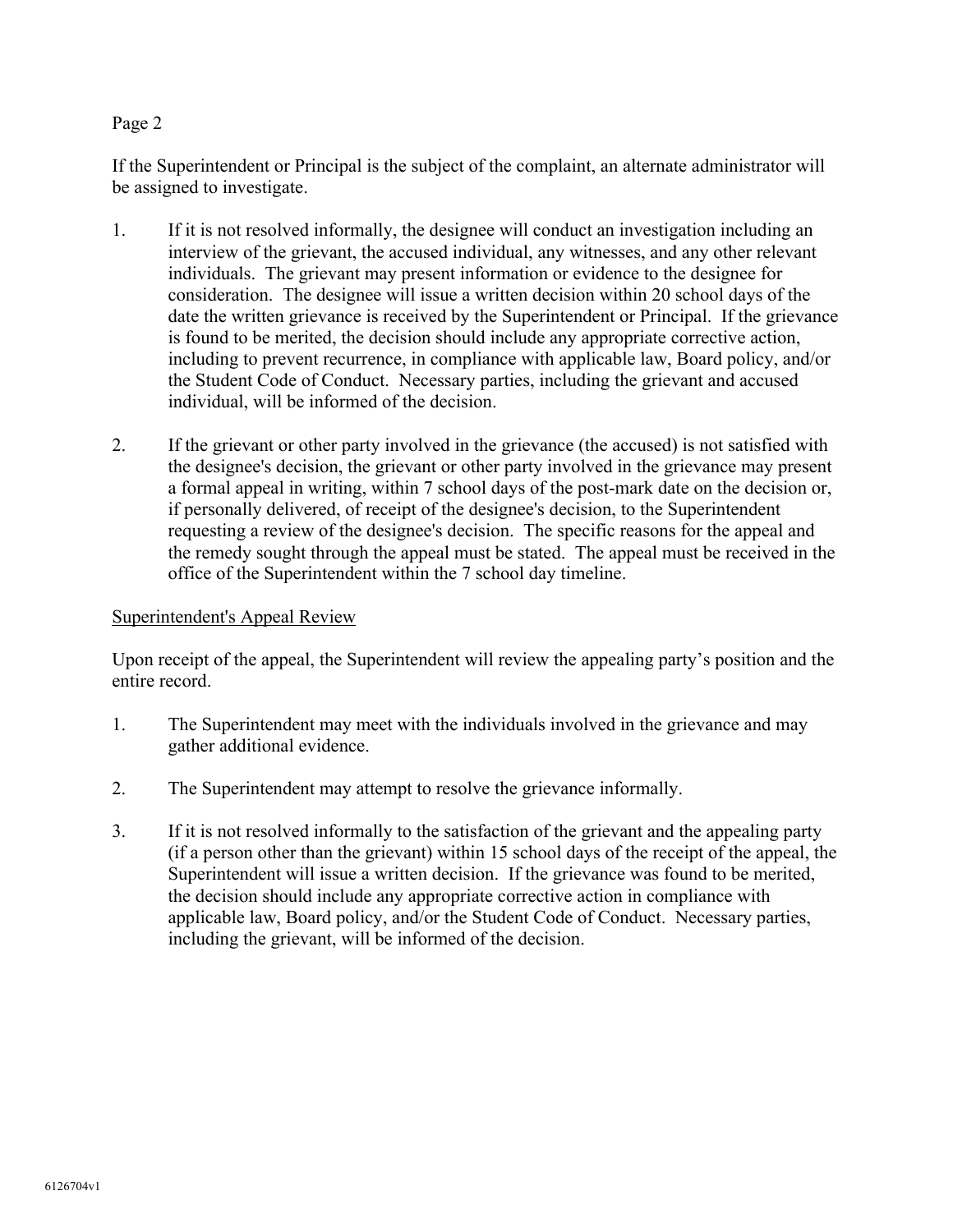If the Superintendent or Principal is the subject of the complaint, an alternate administrator will be assigned to investigate.

- 1. If it is not resolved informally, the designee will conduct an investigation including an interview of the grievant, the accused individual, any witnesses, and any other relevant individuals. The grievant may present information or evidence to the designee for consideration. The designee will issue a written decision within 20 school days of the date the written grievance is received by the Superintendent or Principal. If the grievance is found to be merited, the decision should include any appropriate corrective action, including to prevent recurrence, in compliance with applicable law, Board policy, and/or the Student Code of Conduct. Necessary parties, including the grievant and accused individual, will be informed of the decision.
- 2. If the grievant or other party involved in the grievance (the accused) is not satisfied with the designee's decision, the grievant or other party involved in the grievance may present a formal appeal in writing, within 7 school days of the post-mark date on the decision or, if personally delivered, of receipt of the designee's decision, to the Superintendent requesting a review of the designee's decision. The specific reasons for the appeal and the remedy sought through the appeal must be stated. The appeal must be received in the office of the Superintendent within the 7 school day timeline.

## Superintendent's Appeal Review

Upon receipt of the appeal, the Superintendent will review the appealing party's position and the entire record.

- 1. The Superintendent may meet with the individuals involved in the grievance and may gather additional evidence.
- 2. The Superintendent may attempt to resolve the grievance informally.
- 3. If it is not resolved informally to the satisfaction of the grievant and the appealing party (if a person other than the grievant) within 15 school days of the receipt of the appeal, the Superintendent will issue a written decision. If the grievance was found to be merited, the decision should include any appropriate corrective action in compliance with applicable law, Board policy, and/or the Student Code of Conduct. Necessary parties, including the grievant, will be informed of the decision.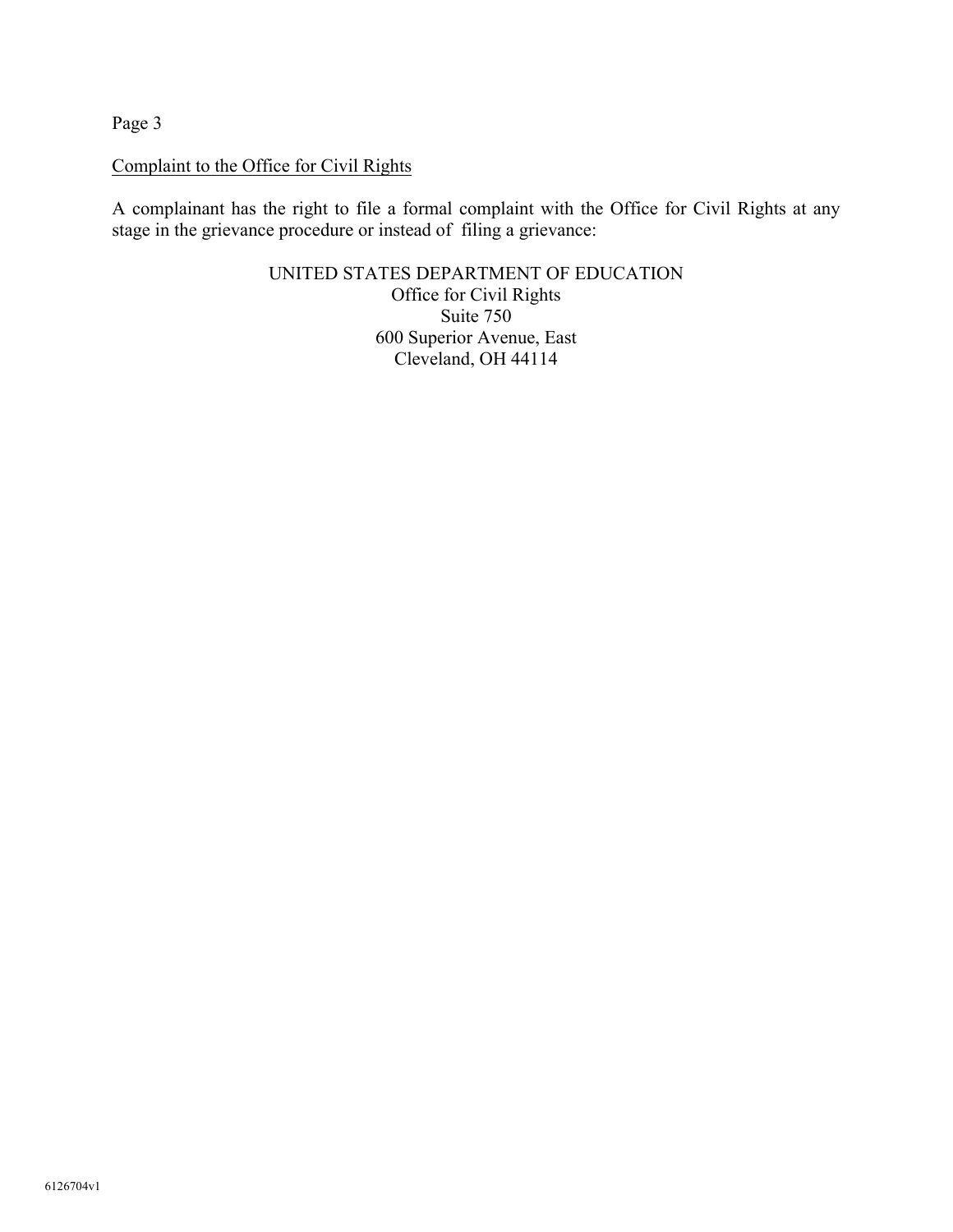# Complaint to the Office for Civil Rights

A complainant has the right to file a formal complaint with the Office for Civil Rights at any stage in the grievance procedure or instead of filing a grievance:

> UNITED STATES DEPARTMENT OF EDUCATION Office for Civil Rights Suite 750 600 Superior Avenue, East Cleveland, OH 44114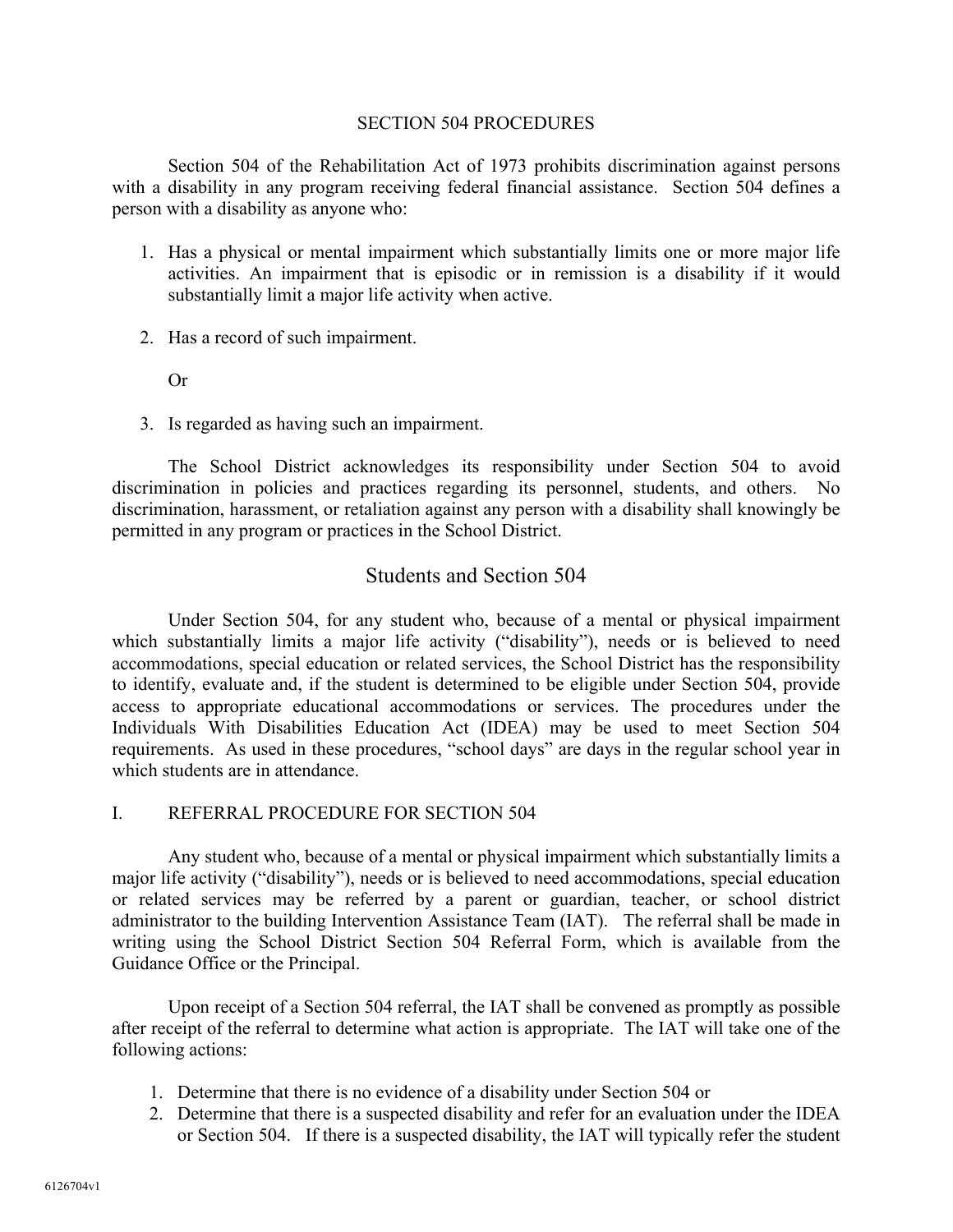#### SECTION 504 PROCEDURES

Section 504 of the Rehabilitation Act of 1973 prohibits discrimination against persons with a disability in any program receiving federal financial assistance. Section 504 defines a person with a disability as anyone who:

- 1. Has a physical or mental impairment which substantially limits one or more major life activities. An impairment that is episodic or in remission is a disability if it would substantially limit a major life activity when active.
- 2. Has a record of such impairment.

Or

3. Is regarded as having such an impairment.

The School District acknowledges its responsibility under Section 504 to avoid discrimination in policies and practices regarding its personnel, students, and others. No discrimination, harassment, or retaliation against any person with a disability shall knowingly be permitted in any program or practices in the School District.

# Students and Section 504

Under Section 504, for any student who, because of a mental or physical impairment which substantially limits a major life activity ("disability"), needs or is believed to need accommodations, special education or related services, the School District has the responsibility to identify, evaluate and, if the student is determined to be eligible under Section 504, provide access to appropriate educational accommodations or services. The procedures under the Individuals With Disabilities Education Act (IDEA) may be used to meet Section 504 requirements. As used in these procedures, "school days" are days in the regular school year in which students are in attendance.

## I. REFERRAL PROCEDURE FOR SECTION 504

Any student who, because of a mental or physical impairment which substantially limits a major life activity ("disability"), needs or is believed to need accommodations, special education or related services may be referred by a parent or guardian, teacher, or school district administrator to the building Intervention Assistance Team (IAT). The referral shall be made in writing using the School District Section 504 Referral Form, which is available from the Guidance Office or the Principal.

Upon receipt of a Section 504 referral, the IAT shall be convened as promptly as possible after receipt of the referral to determine what action is appropriate. The IAT will take one of the following actions:

- 1. Determine that there is no evidence of a disability under Section 504 or
- 2. Determine that there is a suspected disability and refer for an evaluation under the IDEA or Section 504. If there is a suspected disability, the IAT will typically refer the student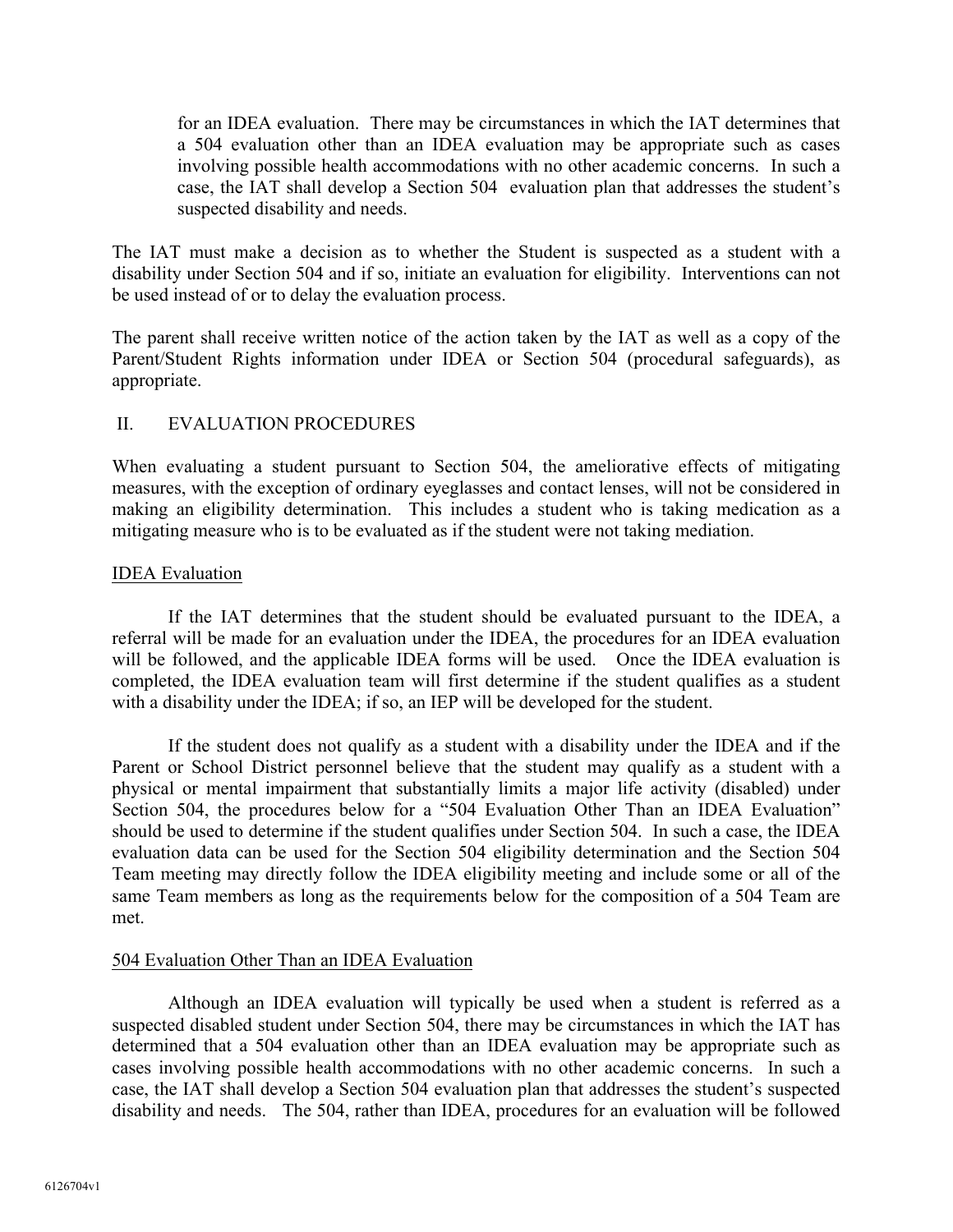for an IDEA evaluation. There may be circumstances in which the IAT determines that a 504 evaluation other than an IDEA evaluation may be appropriate such as cases involving possible health accommodations with no other academic concerns. In such a case, the IAT shall develop a Section 504 evaluation plan that addresses the student's suspected disability and needs.

The IAT must make a decision as to whether the Student is suspected as a student with a disability under Section 504 and if so, initiate an evaluation for eligibility. Interventions can not be used instead of or to delay the evaluation process.

The parent shall receive written notice of the action taken by the IAT as well as a copy of the Parent/Student Rights information under IDEA or Section 504 (procedural safeguards), as appropriate.

# II. EVALUATION PROCEDURES

When evaluating a student pursuant to Section 504, the ameliorative effects of mitigating measures, with the exception of ordinary eyeglasses and contact lenses, will not be considered in making an eligibility determination. This includes a student who is taking medication as a mitigating measure who is to be evaluated as if the student were not taking mediation.

# IDEA Evaluation

If the IAT determines that the student should be evaluated pursuant to the IDEA, a referral will be made for an evaluation under the IDEA, the procedures for an IDEA evaluation will be followed, and the applicable IDEA forms will be used. Once the IDEA evaluation is completed, the IDEA evaluation team will first determine if the student qualifies as a student with a disability under the IDEA; if so, an IEP will be developed for the student.

If the student does not qualify as a student with a disability under the IDEA and if the Parent or School District personnel believe that the student may qualify as a student with a physical or mental impairment that substantially limits a major life activity (disabled) under Section 504, the procedures below for a "504 Evaluation Other Than an IDEA Evaluation" should be used to determine if the student qualifies under Section 504. In such a case, the IDEA evaluation data can be used for the Section 504 eligibility determination and the Section 504 Team meeting may directly follow the IDEA eligibility meeting and include some or all of the same Team members as long as the requirements below for the composition of a 504 Team are met.

# 504 Evaluation Other Than an IDEA Evaluation

Although an IDEA evaluation will typically be used when a student is referred as a suspected disabled student under Section 504, there may be circumstances in which the IAT has determined that a 504 evaluation other than an IDEA evaluation may be appropriate such as cases involving possible health accommodations with no other academic concerns. In such a case, the IAT shall develop a Section 504 evaluation plan that addresses the student's suspected disability and needs. The 504, rather than IDEA, procedures for an evaluation will be followed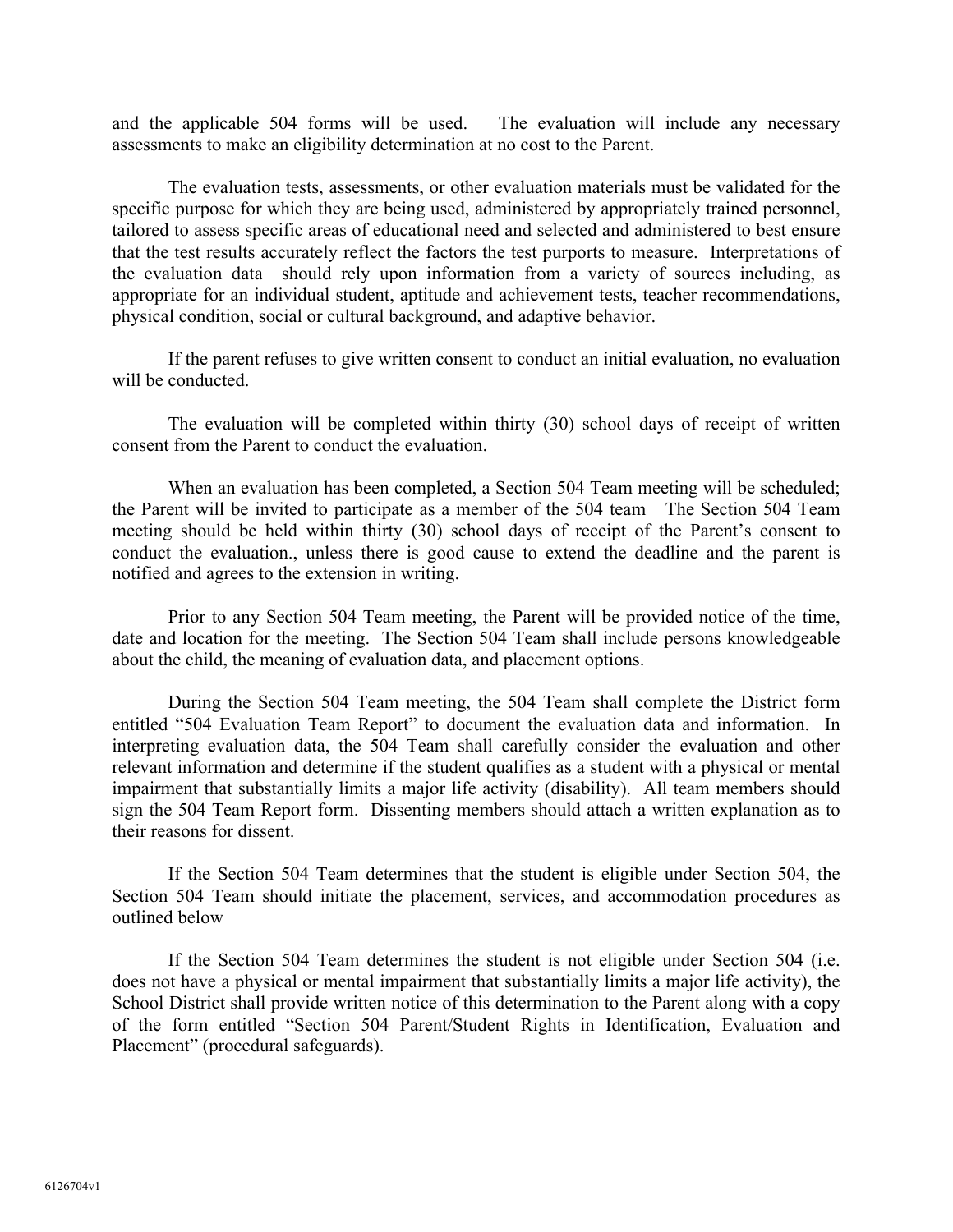and the applicable 504 forms will be used. The evaluation will include any necessary assessments to make an eligibility determination at no cost to the Parent.

The evaluation tests, assessments, or other evaluation materials must be validated for the specific purpose for which they are being used, administered by appropriately trained personnel, tailored to assess specific areas of educational need and selected and administered to best ensure that the test results accurately reflect the factors the test purports to measure. Interpretations of the evaluation data should rely upon information from a variety of sources including, as appropriate for an individual student, aptitude and achievement tests, teacher recommendations, physical condition, social or cultural background, and adaptive behavior.

If the parent refuses to give written consent to conduct an initial evaluation, no evaluation will be conducted.

The evaluation will be completed within thirty (30) school days of receipt of written consent from the Parent to conduct the evaluation.

When an evaluation has been completed, a Section 504 Team meeting will be scheduled; the Parent will be invited to participate as a member of the 504 team The Section 504 Team meeting should be held within thirty (30) school days of receipt of the Parent's consent to conduct the evaluation., unless there is good cause to extend the deadline and the parent is notified and agrees to the extension in writing.

Prior to any Section 504 Team meeting, the Parent will be provided notice of the time, date and location for the meeting. The Section 504 Team shall include persons knowledgeable about the child, the meaning of evaluation data, and placement options.

During the Section 504 Team meeting, the 504 Team shall complete the District form entitled "504 Evaluation Team Report" to document the evaluation data and information. In interpreting evaluation data, the 504 Team shall carefully consider the evaluation and other relevant information and determine if the student qualifies as a student with a physical or mental impairment that substantially limits a major life activity (disability). All team members should sign the 504 Team Report form. Dissenting members should attach a written explanation as to their reasons for dissent.

If the Section 504 Team determines that the student is eligible under Section 504, the Section 504 Team should initiate the placement, services, and accommodation procedures as outlined below

If the Section 504 Team determines the student is not eligible under Section 504 (i.e. does not have a physical or mental impairment that substantially limits a major life activity), the School District shall provide written notice of this determination to the Parent along with a copy of the form entitled "Section 504 Parent/Student Rights in Identification, Evaluation and Placement" (procedural safeguards).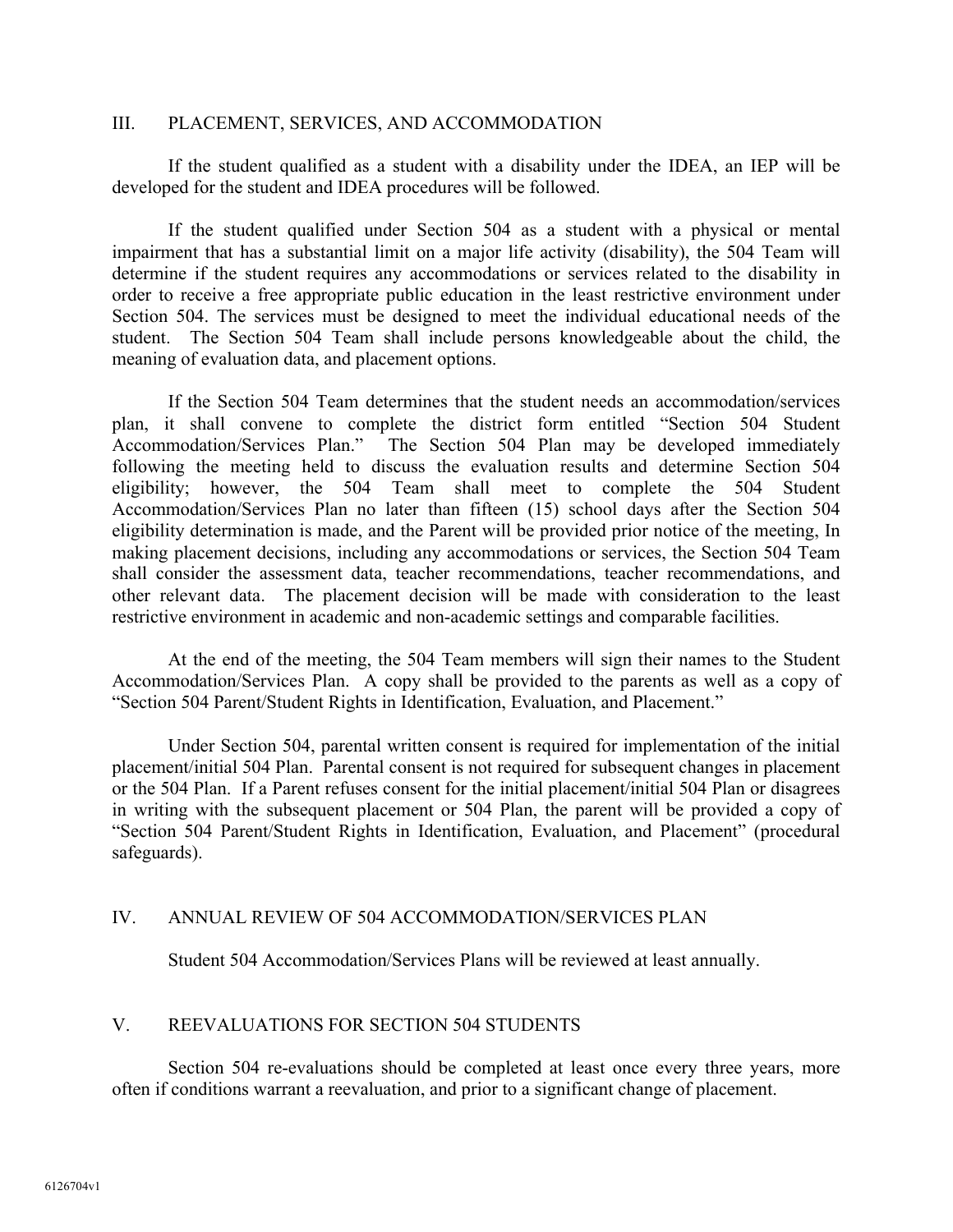## III. PLACEMENT, SERVICES, AND ACCOMMODATION

If the student qualified as a student with a disability under the IDEA, an IEP will be developed for the student and IDEA procedures will be followed.

If the student qualified under Section 504 as a student with a physical or mental impairment that has a substantial limit on a major life activity (disability), the 504 Team will determine if the student requires any accommodations or services related to the disability in order to receive a free appropriate public education in the least restrictive environment under Section 504. The services must be designed to meet the individual educational needs of the student. The Section 504 Team shall include persons knowledgeable about the child, the meaning of evaluation data, and placement options.

If the Section 504 Team determines that the student needs an accommodation/services plan, it shall convene to complete the district form entitled "Section 504 Student Accommodation/Services Plan." The Section 504 Plan may be developed immediately following the meeting held to discuss the evaluation results and determine Section 504 eligibility; however, the 504 Team shall meet to complete the 504 Student Accommodation/Services Plan no later than fifteen (15) school days after the Section 504 eligibility determination is made, and the Parent will be provided prior notice of the meeting, In making placement decisions, including any accommodations or services, the Section 504 Team shall consider the assessment data, teacher recommendations, teacher recommendations, and other relevant data. The placement decision will be made with consideration to the least restrictive environment in academic and non-academic settings and comparable facilities.

At the end of the meeting, the 504 Team members will sign their names to the Student Accommodation/Services Plan. A copy shall be provided to the parents as well as a copy of "Section 504 Parent/Student Rights in Identification, Evaluation, and Placement."

Under Section 504, parental written consent is required for implementation of the initial placement/initial 504 Plan. Parental consent is not required for subsequent changes in placement or the 504 Plan. If a Parent refuses consent for the initial placement/initial 504 Plan or disagrees in writing with the subsequent placement or 504 Plan, the parent will be provided a copy of "Section 504 Parent/Student Rights in Identification, Evaluation, and Placement" (procedural safeguards).

#### IV. ANNUAL REVIEW OF 504 ACCOMMODATION/SERVICES PLAN

Student 504 Accommodation/Services Plans will be reviewed at least annually.

#### V. REEVALUATIONS FOR SECTION 504 STUDENTS

Section 504 re-evaluations should be completed at least once every three years, more often if conditions warrant a reevaluation, and prior to a significant change of placement.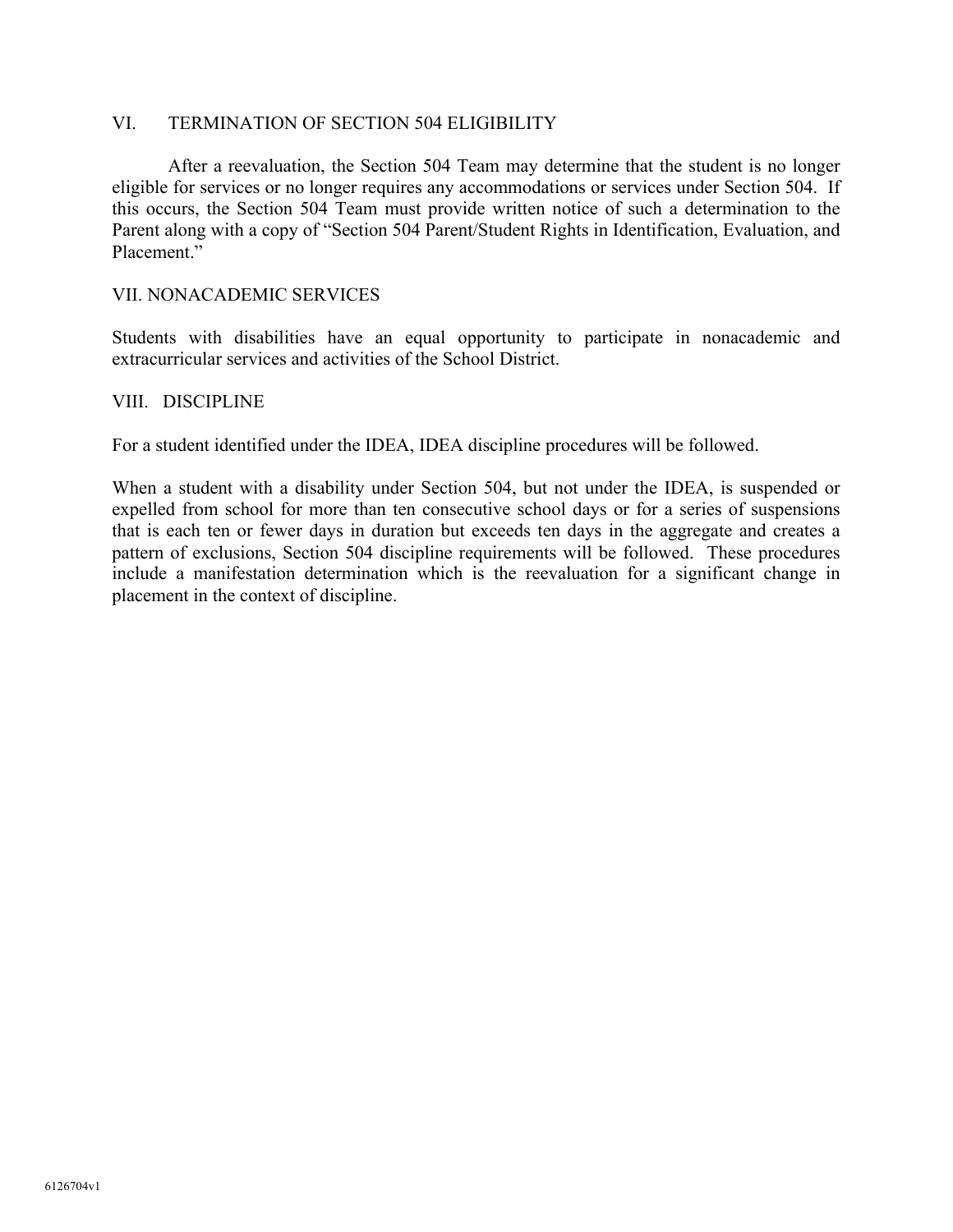## VI. TERMINATION OF SECTION 504 ELIGIBILITY

After a reevaluation, the Section 504 Team may determine that the student is no longer eligible for services or no longer requires any accommodations or services under Section 504. If this occurs, the Section 504 Team must provide written notice of such a determination to the Parent along with a copy of "Section 504 Parent/Student Rights in Identification, Evaluation, and Placement."

#### VII. NONACADEMIC SERVICES

Students with disabilities have an equal opportunity to participate in nonacademic and extracurricular services and activities of the School District.

#### VIII. DISCIPLINE

For a student identified under the IDEA, IDEA discipline procedures will be followed.

When a student with a disability under Section 504, but not under the IDEA, is suspended or expelled from school for more than ten consecutive school days or for a series of suspensions that is each ten or fewer days in duration but exceeds ten days in the aggregate and creates a pattern of exclusions, Section 504 discipline requirements will be followed. These procedures include a manifestation determination which is the reevaluation for a significant change in placement in the context of discipline.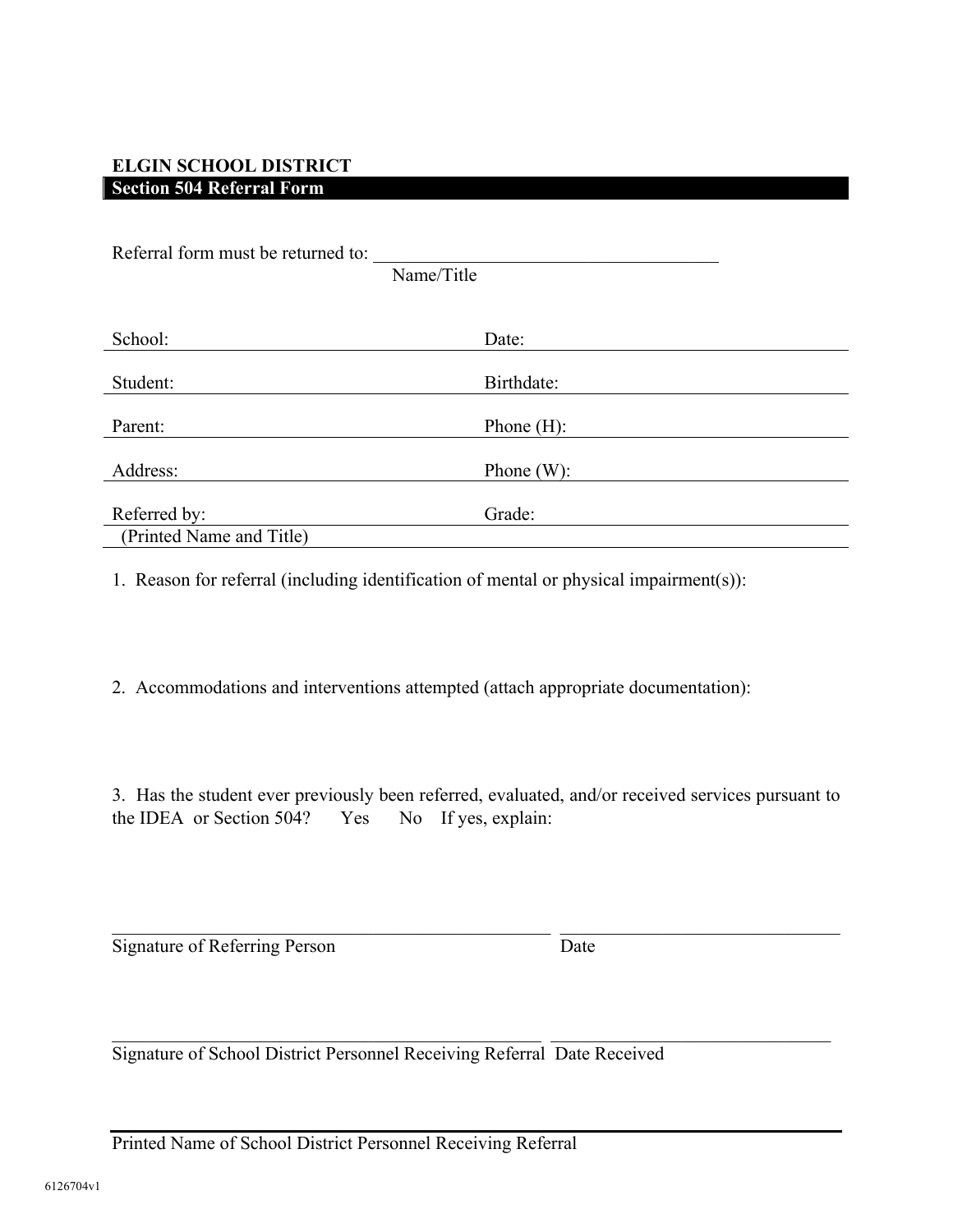# **ELGIN SCHOOL DISTRICT Section 504 Referral Form**

| Referral form must be returned to: |  |  |
|------------------------------------|--|--|
| Name/Title                         |  |  |
|                                    |  |  |
| Date:                              |  |  |
| Birthdate:                         |  |  |
| Phone $(H)$ :                      |  |  |
| Phone $(W)$ :                      |  |  |
| Grade:                             |  |  |
|                                    |  |  |
|                                    |  |  |

1. Reason for referral (including identification of mental or physical impairment(s)):

2. Accommodations and interventions attempted (attach appropriate documentation):

3. Has the student ever previously been referred, evaluated, and/or received services pursuant to the IDEA or Section 504? Yes No If yes, explain:

 $\mathcal{L}_\text{max}$  , and the contribution of the contribution of the contribution of the contribution of the contribution of the contribution of the contribution of the contribution of the contribution of the contribution of t

 $\mathcal{L}_\text{max}$  , and the contribution of the contribution of the contribution of the contribution of the contribution of the contribution of the contribution of the contribution of the contribution of the contribution of t

Signature of Referring Person Date

Signature of School District Personnel Receiving Referral Date Received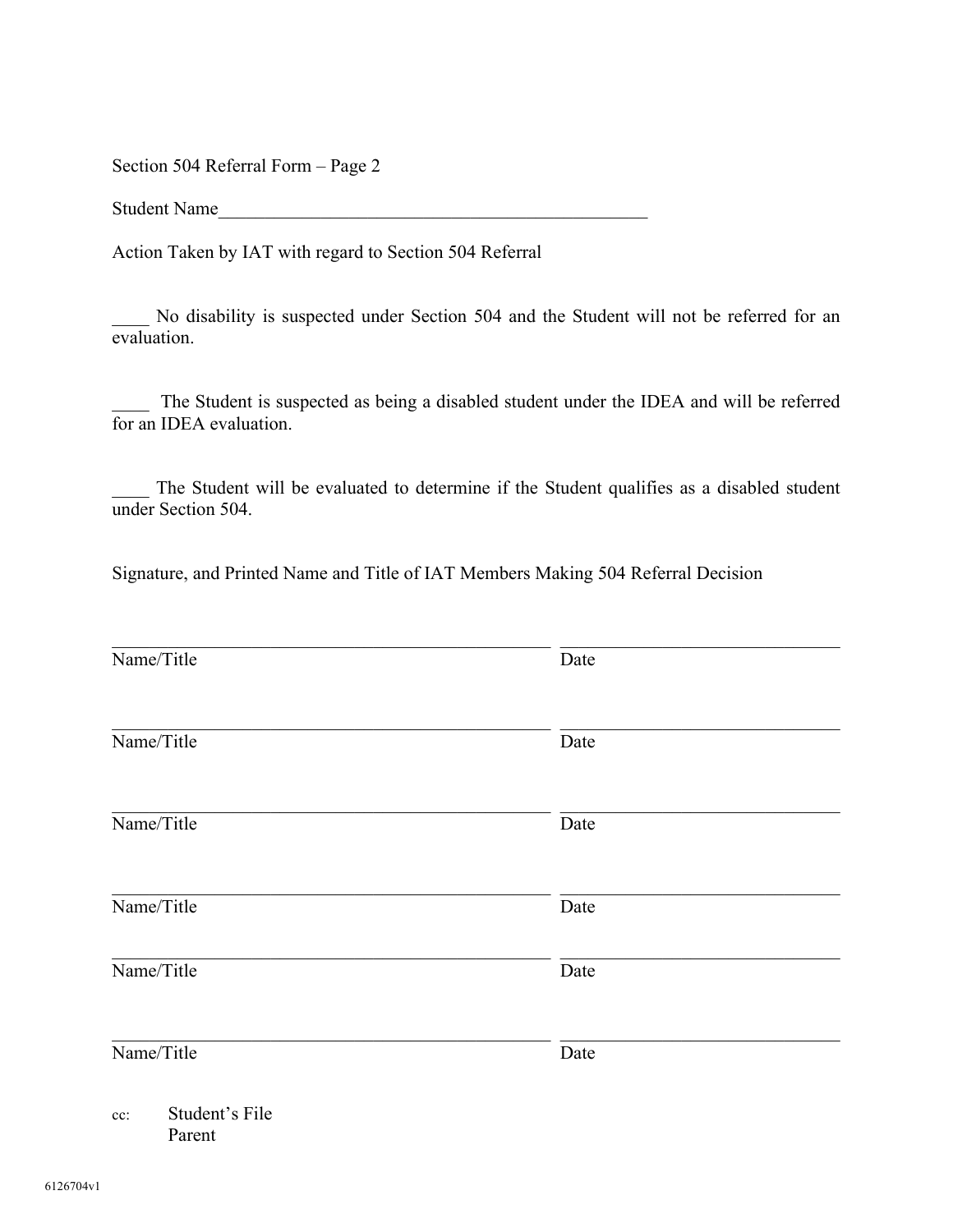Section 504 Referral Form – Page 2

Student Name

Action Taken by IAT with regard to Section 504 Referral

\_\_\_\_ No disability is suspected under Section 504 and the Student will not be referred for an evaluation.

The Student is suspected as being a disabled student under the IDEA and will be referred for an IDEA evaluation.

The Student will be evaluated to determine if the Student qualifies as a disabled student under Section 504.

Signature, and Printed Name and Title of IAT Members Making 504 Referral Decision

| Name/Title                         | Date |
|------------------------------------|------|
|                                    |      |
| Name/Title                         | Date |
| Name/Title                         | Date |
| Name/Title                         | Date |
| Name/Title                         | Date |
| Name/Title                         | Date |
| Student's File<br>$cc$ :<br>Parent |      |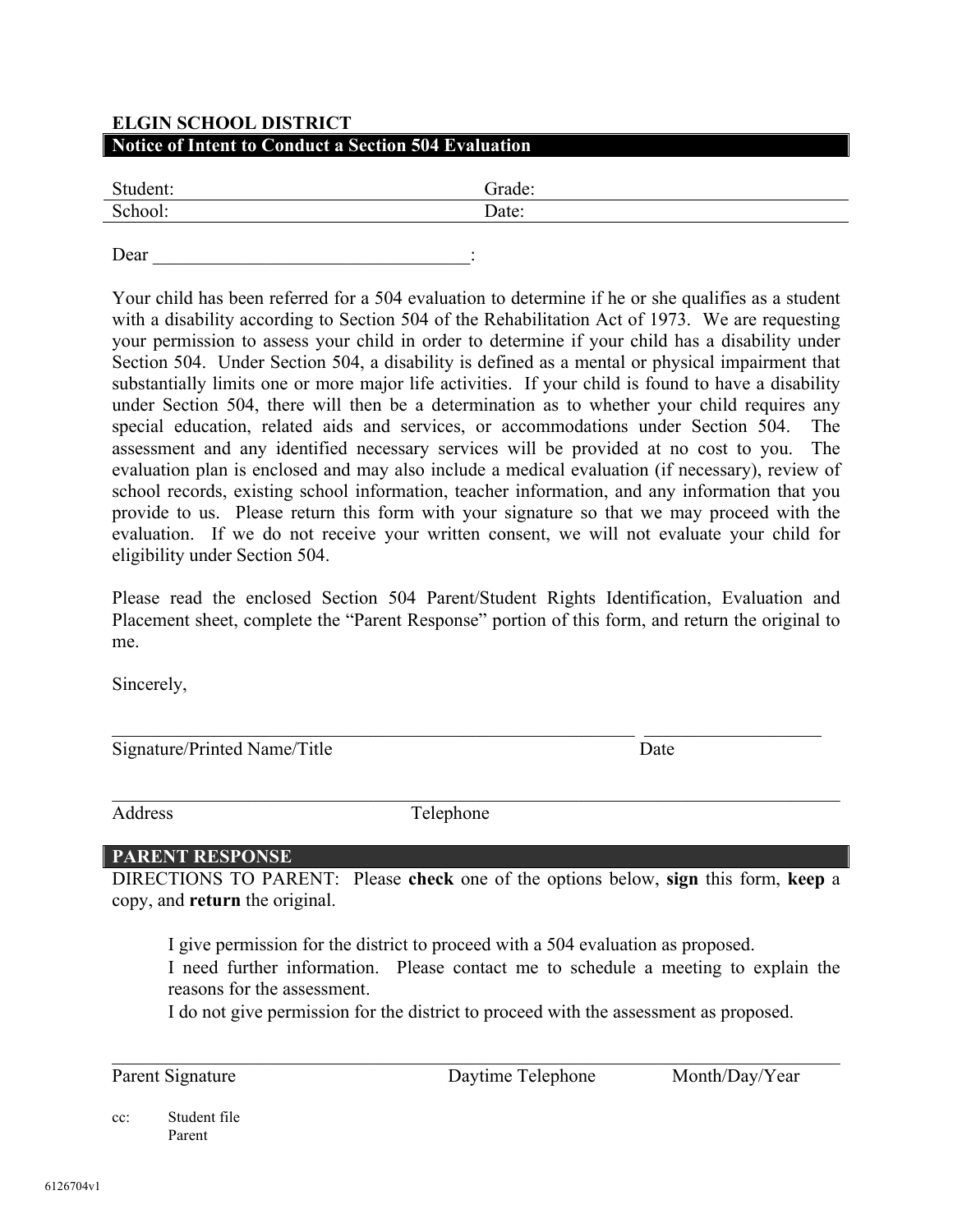# **ELGIN SCHOOL DISTRICT Notice of Intent to Conduct a Section 504 Evaluation**

| Student: | Frade: |
|----------|--------|
| School:  | Date:  |

Dear  $\Box$ 

Your child has been referred for a 504 evaluation to determine if he or she qualifies as a student with a disability according to Section 504 of the Rehabilitation Act of 1973. We are requesting your permission to assess your child in order to determine if your child has a disability under Section 504. Under Section 504, a disability is defined as a mental or physical impairment that substantially limits one or more major life activities. If your child is found to have a disability under Section 504, there will then be a determination as to whether your child requires any special education, related aids and services, or accommodations under Section 504. The assessment and any identified necessary services will be provided at no cost to you. The evaluation plan is enclosed and may also include a medical evaluation (if necessary), review of school records, existing school information, teacher information, and any information that you provide to us. Please return this form with your signature so that we may proceed with the evaluation. If we do not receive your written consent, we will not evaluate your child for eligibility under Section 504.

Please read the enclosed Section 504 Parent/Student Rights Identification, Evaluation and Placement sheet, complete the "Parent Response" portion of this form, and return the original to me.

Sincerely,

Signature/Printed Name/Title Date

 $\mathcal{L}_\mathcal{L} = \{ \mathcal{L}_\mathcal{L} = \{ \mathcal{L}_\mathcal{L} = \{ \mathcal{L}_\mathcal{L} = \{ \mathcal{L}_\mathcal{L} = \{ \mathcal{L}_\mathcal{L} = \{ \mathcal{L}_\mathcal{L} = \{ \mathcal{L}_\mathcal{L} = \{ \mathcal{L}_\mathcal{L} = \{ \mathcal{L}_\mathcal{L} = \{ \mathcal{L}_\mathcal{L} = \{ \mathcal{L}_\mathcal{L} = \{ \mathcal{L}_\mathcal{L} = \{ \mathcal{L}_\mathcal{L} = \{ \mathcal{L}_\mathcal{$ 

Address Telephone

 $\mathcal{L}_\mathcal{L} = \mathcal{L}_\mathcal{L} = \mathcal{L}_\mathcal{L} = \mathcal{L}_\mathcal{L} = \mathcal{L}_\mathcal{L} = \mathcal{L}_\mathcal{L} = \mathcal{L}_\mathcal{L} = \mathcal{L}_\mathcal{L} = \mathcal{L}_\mathcal{L} = \mathcal{L}_\mathcal{L} = \mathcal{L}_\mathcal{L} = \mathcal{L}_\mathcal{L} = \mathcal{L}_\mathcal{L} = \mathcal{L}_\mathcal{L} = \mathcal{L}_\mathcal{L} = \mathcal{L}_\mathcal{L} = \mathcal{L}_\mathcal{L}$ 

## **PARENT RESPONSE**

DIRECTIONS TO PARENT: Please **check** one of the options below, **sign** this form, **keep** a copy, and **return** the original.

I give permission for the district to proceed with a 504 evaluation as proposed.

 I need further information. Please contact me to schedule a meeting to explain the reasons for the assessment.

I do not give permission for the district to proceed with the assessment as proposed.

 $\mathcal{L}_\mathcal{L} = \{ \mathcal{L}_\mathcal{L} = \{ \mathcal{L}_\mathcal{L} = \{ \mathcal{L}_\mathcal{L} = \{ \mathcal{L}_\mathcal{L} = \{ \mathcal{L}_\mathcal{L} = \{ \mathcal{L}_\mathcal{L} = \{ \mathcal{L}_\mathcal{L} = \{ \mathcal{L}_\mathcal{L} = \{ \mathcal{L}_\mathcal{L} = \{ \mathcal{L}_\mathcal{L} = \{ \mathcal{L}_\mathcal{L} = \{ \mathcal{L}_\mathcal{L} = \{ \mathcal{L}_\mathcal{L} = \{ \mathcal{L}_\mathcal{$ 

Parent Signature Daytime Telephone Month/Day/Year

cc: Student file Parent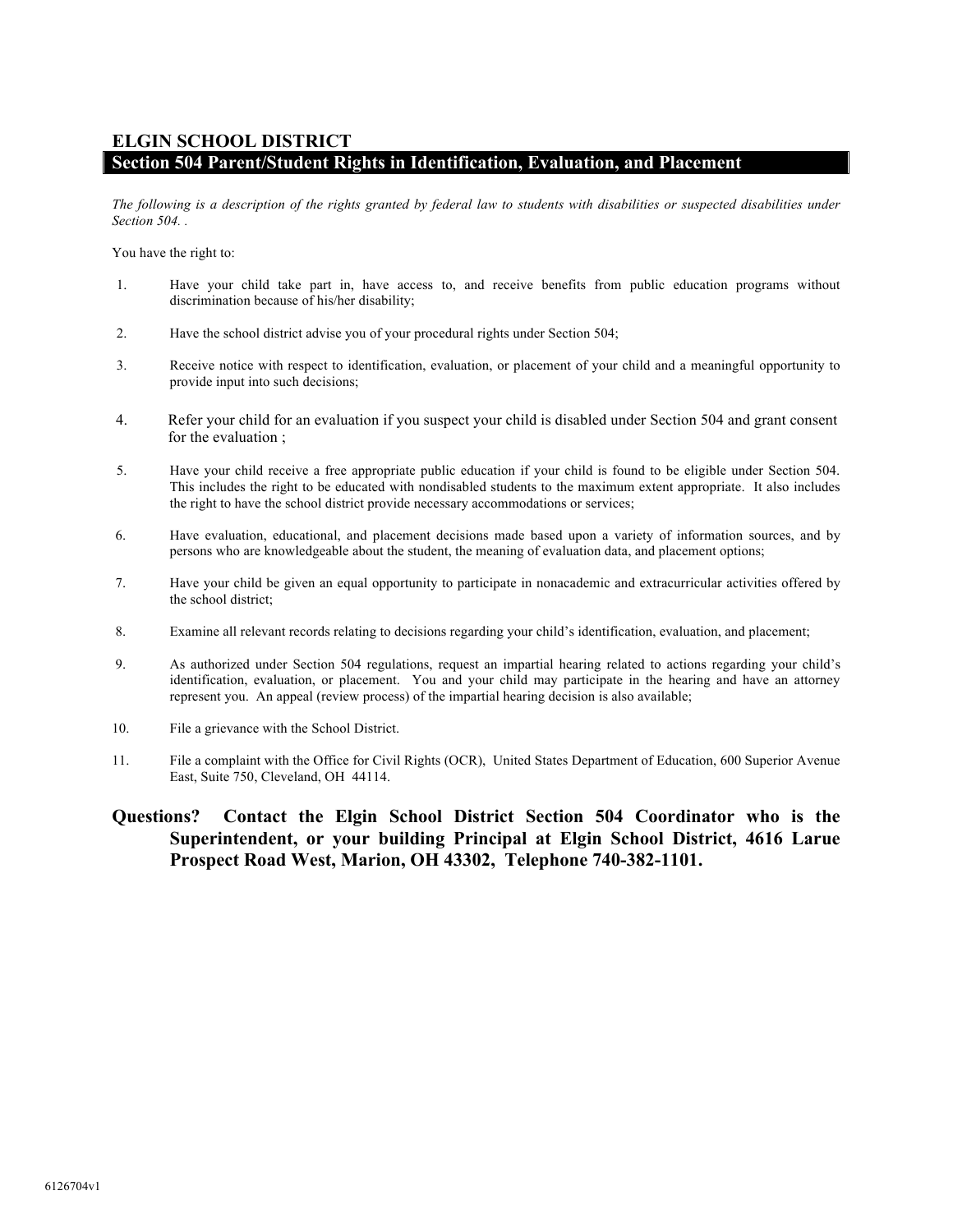#### **ELGIN SCHOOL DISTRICT Section 504 Parent/Student Rights in Identification, Evaluation, and Placement**

*The following is a description of the rights granted by federal law to students with disabilities or suspected disabilities under Section 504. .*

You have the right to:

- 1. Have your child take part in, have access to, and receive benefits from public education programs without discrimination because of his/her disability;
- 2. Have the school district advise you of your procedural rights under Section 504;
- 3. Receive notice with respect to identification, evaluation, or placement of your child and a meaningful opportunity to provide input into such decisions;
- 4. Refer your child for an evaluation if you suspect your child is disabled under Section 504 and grant consent for the evaluation ;
- 5. Have your child receive a free appropriate public education if your child is found to be eligible under Section 504. This includes the right to be educated with nondisabled students to the maximum extent appropriate. It also includes the right to have the school district provide necessary accommodations or services;
- 6. Have evaluation, educational, and placement decisions made based upon a variety of information sources, and by persons who are knowledgeable about the student, the meaning of evaluation data, and placement options;
- 7. Have your child be given an equal opportunity to participate in nonacademic and extracurricular activities offered by the school district;
- 8. Examine all relevant records relating to decisions regarding your child's identification, evaluation, and placement;
- 9. As authorized under Section 504 regulations, request an impartial hearing related to actions regarding your child's identification, evaluation, or placement. You and your child may participate in the hearing and have an attorney represent you. An appeal (review process) of the impartial hearing decision is also available;
- 10. File a grievance with the School District.
- 11. File a complaint with the Office for Civil Rights (OCR), United States Department of Education, 600 Superior Avenue East, Suite 750, Cleveland, OH 44114.
- **Questions? Contact the Elgin School District Section 504 Coordinator who is the Superintendent, or your building Principal at Elgin School District, 4616 Larue Prospect Road West, Marion, OH 43302, Telephone 740-382-1101.**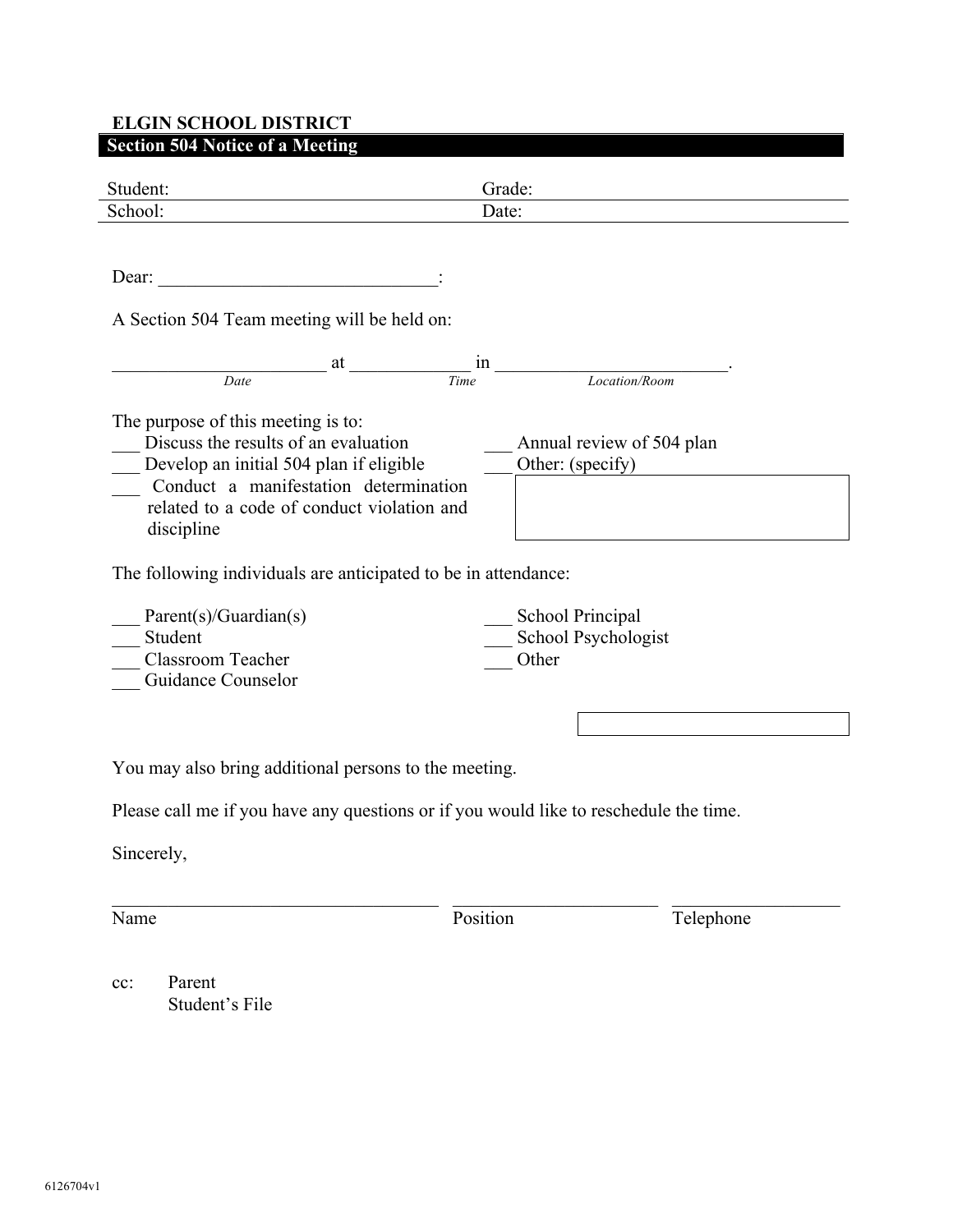# **ELGIN SCHOOL DISTRICT Section 504 Notice of a Meeting**

| Student:                                                                                                                                                                                                                   | Grade:                                           |  |  |
|----------------------------------------------------------------------------------------------------------------------------------------------------------------------------------------------------------------------------|--------------------------------------------------|--|--|
| School:                                                                                                                                                                                                                    | Date:                                            |  |  |
| Dear:<br><u> 1980 - Jan Barbara Barbara, manazarta da kasas da kasas da kasas da kasas da kasas da kasas da kasas da kasa</u><br>A Section 504 Team meeting will be held on:                                               |                                                  |  |  |
| Date                                                                                                                                                                                                                       | $\frac{at}{Time}$ in $\frac{1}{Localion/Room}$   |  |  |
| The purpose of this meeting is to:<br>Discuss the results of an evaluation<br>Develop an initial 504 plan if eligible<br>Conduct a manifestation determination<br>related to a code of conduct violation and<br>discipline | Annual review of 504 plan<br>Other: (specify)    |  |  |
| The following individuals are anticipated to be in attendance:                                                                                                                                                             |                                                  |  |  |
| Parent(s)/Guardian(s)<br>Student<br><b>Classroom Teacher</b><br>Guidance Counselor                                                                                                                                         | School Principal<br>School Psychologist<br>Other |  |  |
|                                                                                                                                                                                                                            |                                                  |  |  |
| You may also bring additional persons to the meeting.                                                                                                                                                                      |                                                  |  |  |
| Please call me if you have any questions or if you would like to reschedule the time.                                                                                                                                      |                                                  |  |  |
| Sincerely,                                                                                                                                                                                                                 |                                                  |  |  |
| Name                                                                                                                                                                                                                       | Position<br>Telephone                            |  |  |

cc: Parent Student's File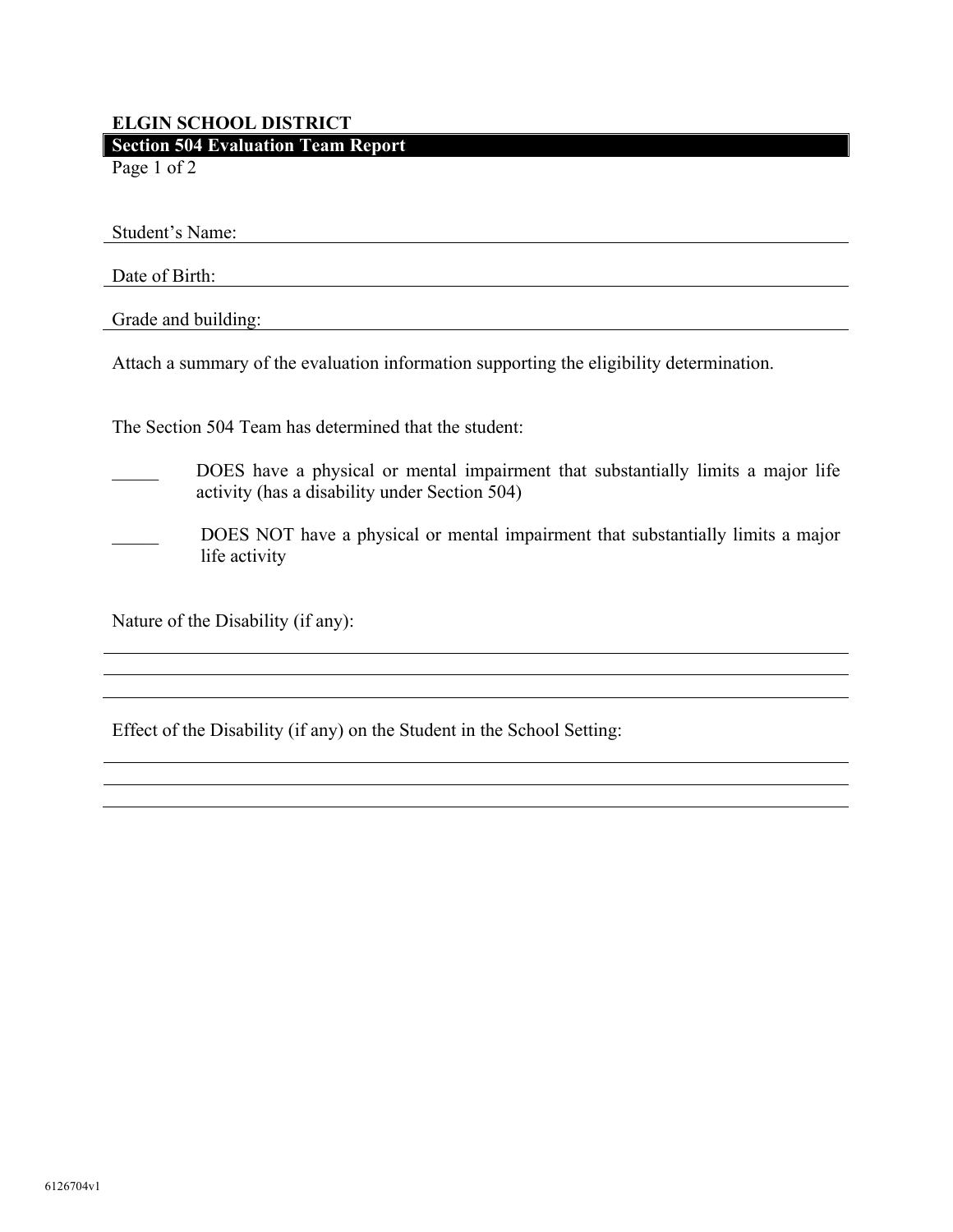# **ELGIN SCHOOL DISTRICT Section 504 Evaluation Team Report**

Page 1 of 2

Student's Name:

Date of Birth:

Grade and building: The Contract of the Contract of the Contract of the Contract of the Contract of the Contract of the Contract of the Contract of the Contract of the Contract of the Contract of the Contract of the Contra

Attach a summary of the evaluation information supporting the eligibility determination.

The Section 504 Team has determined that the student:

DOES have a physical or mental impairment that substantially limits a major life activity (has a disability under Section 504)

DOES NOT have a physical or mental impairment that substantially limits a major life activity

Nature of the Disability (if any):

Effect of the Disability (if any) on the Student in the School Setting: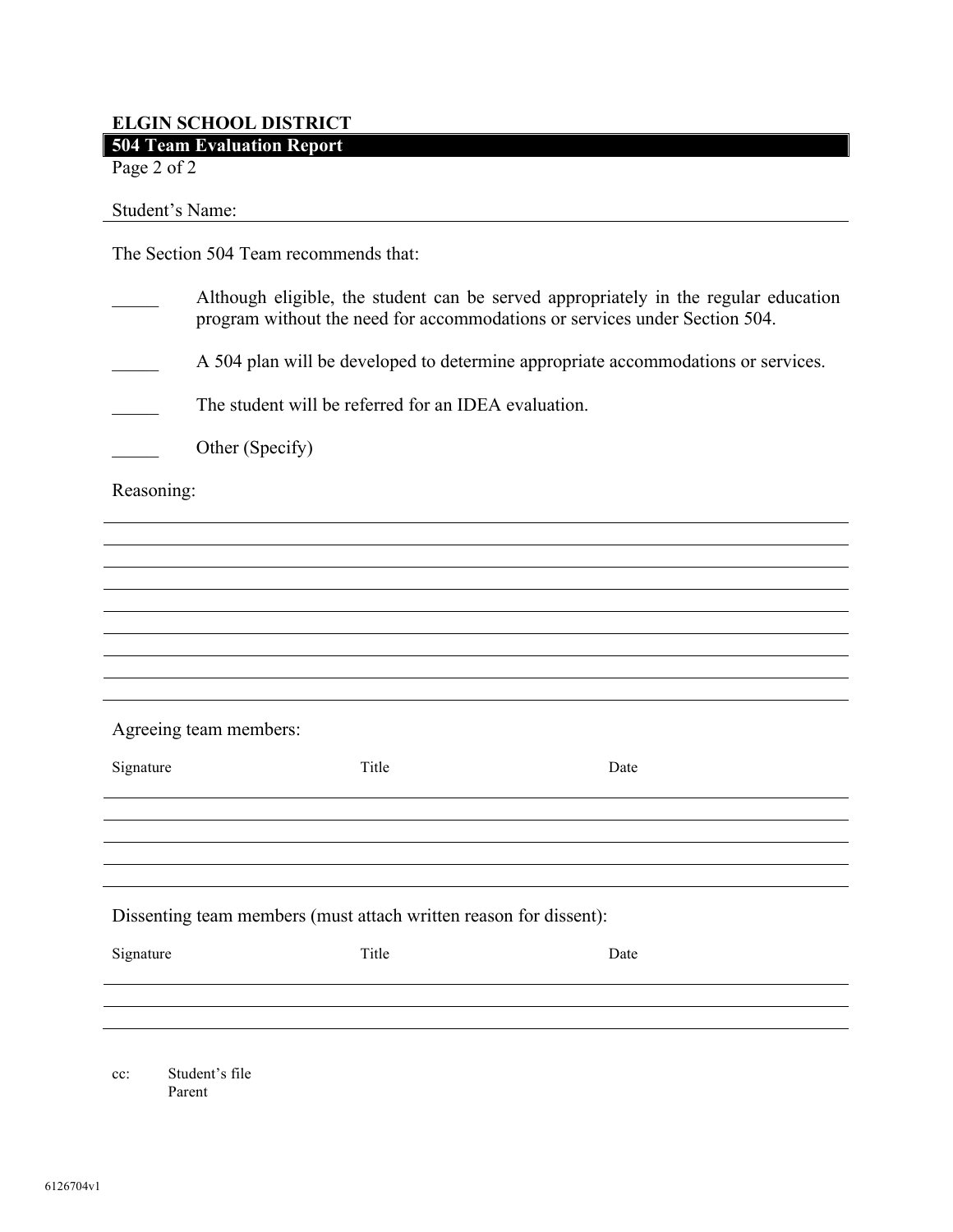# **ELGIN SCHOOL DISTRICT 504 Team Evaluation Report**

Page 2 of 2

Student's Name:

The Section 504 Team recommends that:

|                                                                   | Although eligible, the student can be served appropriately in the regular education<br>program without the need for accommodations or services under Section 504. |      |  |
|-------------------------------------------------------------------|-------------------------------------------------------------------------------------------------------------------------------------------------------------------|------|--|
|                                                                   | A 504 plan will be developed to determine appropriate accommodations or services.                                                                                 |      |  |
|                                                                   | The student will be referred for an IDEA evaluation.                                                                                                              |      |  |
|                                                                   | Other (Specify)                                                                                                                                                   |      |  |
| Reasoning:                                                        |                                                                                                                                                                   |      |  |
|                                                                   |                                                                                                                                                                   |      |  |
|                                                                   |                                                                                                                                                                   |      |  |
|                                                                   |                                                                                                                                                                   |      |  |
|                                                                   |                                                                                                                                                                   |      |  |
|                                                                   |                                                                                                                                                                   |      |  |
|                                                                   |                                                                                                                                                                   |      |  |
|                                                                   | Agreeing team members:                                                                                                                                            |      |  |
| Signature                                                         | Title                                                                                                                                                             | Date |  |
|                                                                   |                                                                                                                                                                   |      |  |
|                                                                   |                                                                                                                                                                   |      |  |
|                                                                   |                                                                                                                                                                   |      |  |
| Dissenting team members (must attach written reason for dissent): |                                                                                                                                                                   |      |  |
| Signature                                                         | Title                                                                                                                                                             | Date |  |
|                                                                   |                                                                                                                                                                   |      |  |
|                                                                   |                                                                                                                                                                   |      |  |
| cc:                                                               | Student's file<br>Parent                                                                                                                                          |      |  |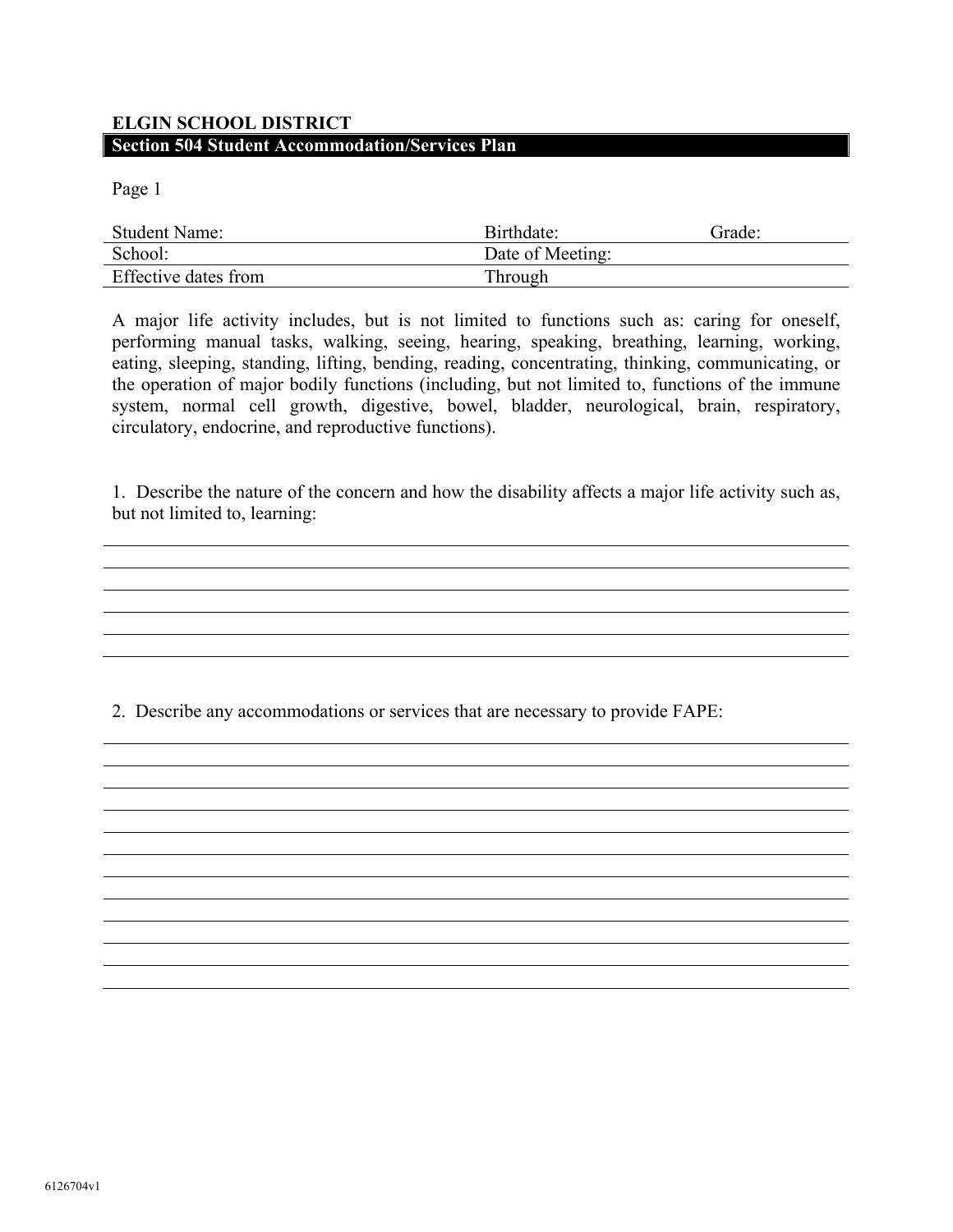# **ELGIN SCHOOL DISTRICT Section 504 Student Accommodation/Services Plan**

Page 1

| <b>Student Name:</b> | Birthdate:       | Grade: |
|----------------------|------------------|--------|
| School:              | Date of Meeting: |        |
| Effective dates from | Through          |        |

A major life activity includes, but is not limited to functions such as: caring for oneself, performing manual tasks, walking, seeing, hearing, speaking, breathing, learning, working, eating, sleeping, standing, lifting, bending, reading, concentrating, thinking, communicating, or the operation of major bodily functions (including, but not limited to, functions of the immune system, normal cell growth, digestive, bowel, bladder, neurological, brain, respiratory, circulatory, endocrine, and reproductive functions).

1. Describe the nature of the concern and how the disability affects a major life activity such as, but not limited to, learning:

and the control of the control of the control of the control of the control of the control of the control of the

2. Describe any accommodations or services that are necessary to provide FAPE: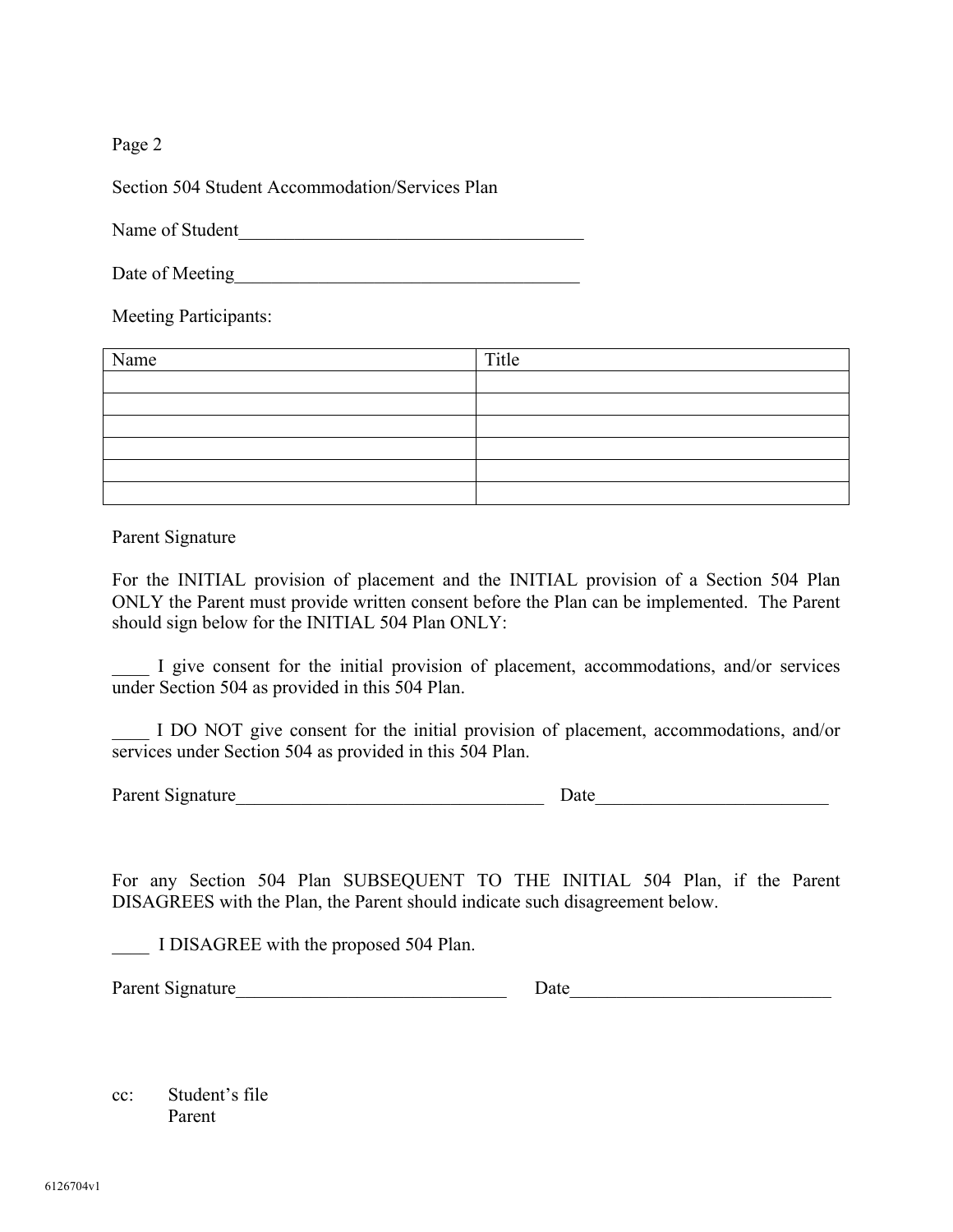Section 504 Student Accommodation/Services Plan

Name of Student

Date of Meeting

Meeting Participants:

| Name | Title |
|------|-------|
|      |       |
|      |       |
|      |       |
|      |       |
|      |       |
|      |       |

Parent Signature

For the INITIAL provision of placement and the INITIAL provision of a Section 504 Plan ONLY the Parent must provide written consent before the Plan can be implemented. The Parent should sign below for the INITIAL 504 Plan ONLY:

\_\_\_\_ I give consent for the initial provision of placement, accommodations, and/or services under Section 504 as provided in this 504 Plan.

\_\_\_\_ I DO NOT give consent for the initial provision of placement, accommodations, and/or services under Section 504 as provided in this 504 Plan.

Parent Signature Date Date

For any Section 504 Plan SUBSEQUENT TO THE INITIAL 504 Plan, if the Parent DISAGREES with the Plan, the Parent should indicate such disagreement below.

I DISAGREE with the proposed 504 Plan.

| Parent Signature |
|------------------|
|------------------|

Parent Signature\_\_\_\_\_\_\_\_\_\_\_\_\_\_\_\_\_\_\_\_\_\_\_\_\_\_\_\_\_ Date\_\_\_\_\_\_\_\_\_\_\_\_\_\_\_\_\_\_\_\_\_\_\_\_\_\_\_\_

cc: Student's file Parent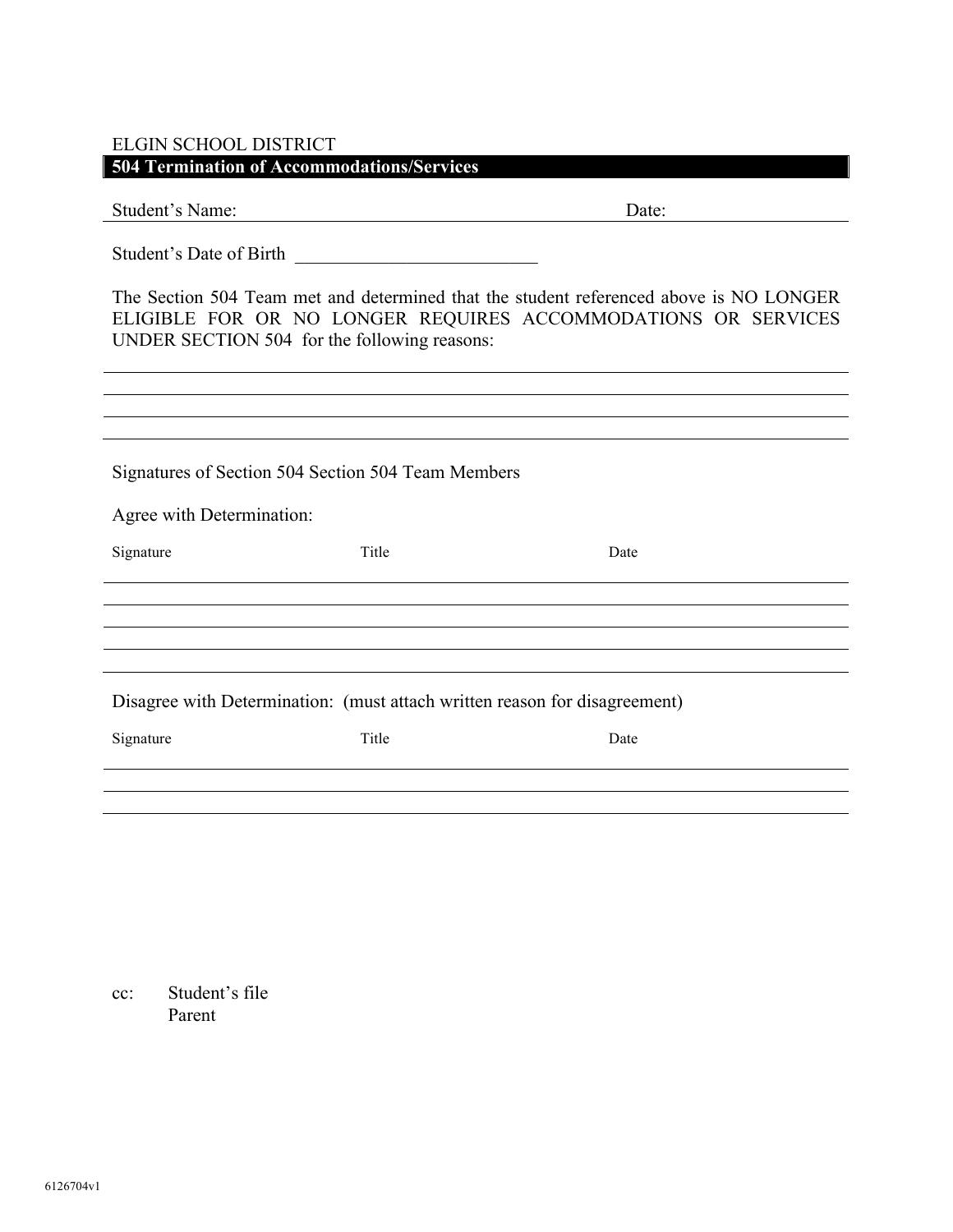# ELGIN SCHOOL DISTRICT

**504 Termination of Accommodations/Services** 

| Student's Name:                                                                                                                                                                                         |       | Date: |
|---------------------------------------------------------------------------------------------------------------------------------------------------------------------------------------------------------|-------|-------|
| Student's Date of Birth                                                                                                                                                                                 |       |       |
| The Section 504 Team met and determined that the student referenced above is NO LONGER<br>ELIGIBLE FOR OR NO LONGER REQUIRES ACCOMMODATIONS OR SERVICES<br>UNDER SECTION 504 for the following reasons: |       |       |
|                                                                                                                                                                                                         |       |       |
|                                                                                                                                                                                                         |       |       |
| Signatures of Section 504 Section 504 Team Members                                                                                                                                                      |       |       |
| Agree with Determination:                                                                                                                                                                               |       |       |
| Signature                                                                                                                                                                                               | Title | Date  |
|                                                                                                                                                                                                         |       |       |
|                                                                                                                                                                                                         |       |       |
|                                                                                                                                                                                                         |       |       |
| Disagree with Determination: (must attach written reason for disagreement)                                                                                                                              |       |       |
| Signature                                                                                                                                                                                               | Title | Date  |
|                                                                                                                                                                                                         |       |       |
|                                                                                                                                                                                                         |       |       |

cc: Student's file Parent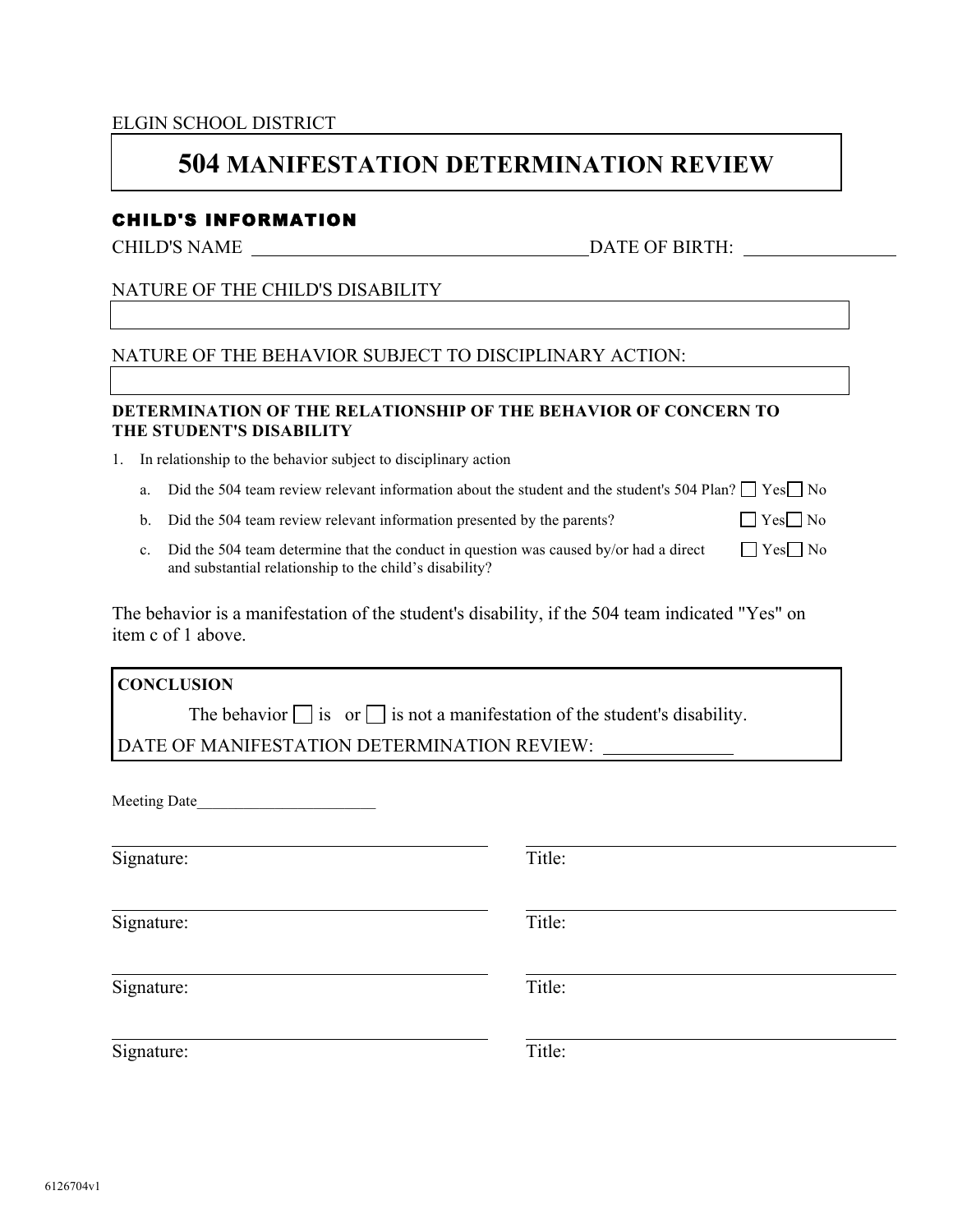#### ELGIN SCHOOL DISTRICT

# **504 MANIFESTATION DETERMINATION REVIEW**

# CHILD'S INFORMATION

CHILD'S NAME DATE OF BIRTH:

# NATURE OF THE CHILD'S DISABILITY

## NATURE OF THE BEHAVIOR SUBJECT TO DISCIPLINARY ACTION:

## **DETERMINATION OF THE RELATIONSHIP OF THE BEHAVIOR OF CONCERN TO THE STUDENT'S DISABILITY**

1. In relationship to the behavior subject to disciplinary action

- a. Did the 504 team review relevant information about the student and the student's 504 Plan?  $\Box$  Yes  $\Box$  No
- b. Did the 504 team review relevant information presented by the parents?  $\Box$  Yes  $\Box$  No
- c. Did the 504 team determine that the conduct in question was caused by/or had a direct  $\Box$  Yes  $\Box$  No and substantial relationship to the child's disability?

The behavior is a manifestation of the student's disability, if the 504 team indicated "Yes" on item c of 1 above.

**CONCLUSION** The behavior  $\Box$  is or  $\Box$  is not a manifestation of the student's disability. DATE OF MANIFESTATION DETERMINATION REVIEW:

Meeting Date\_\_\_\_\_\_\_\_\_\_\_\_\_\_\_\_\_\_\_\_\_\_\_

Signature: Title:

Signature: Title:

Signature: Title:

Signature: Title: